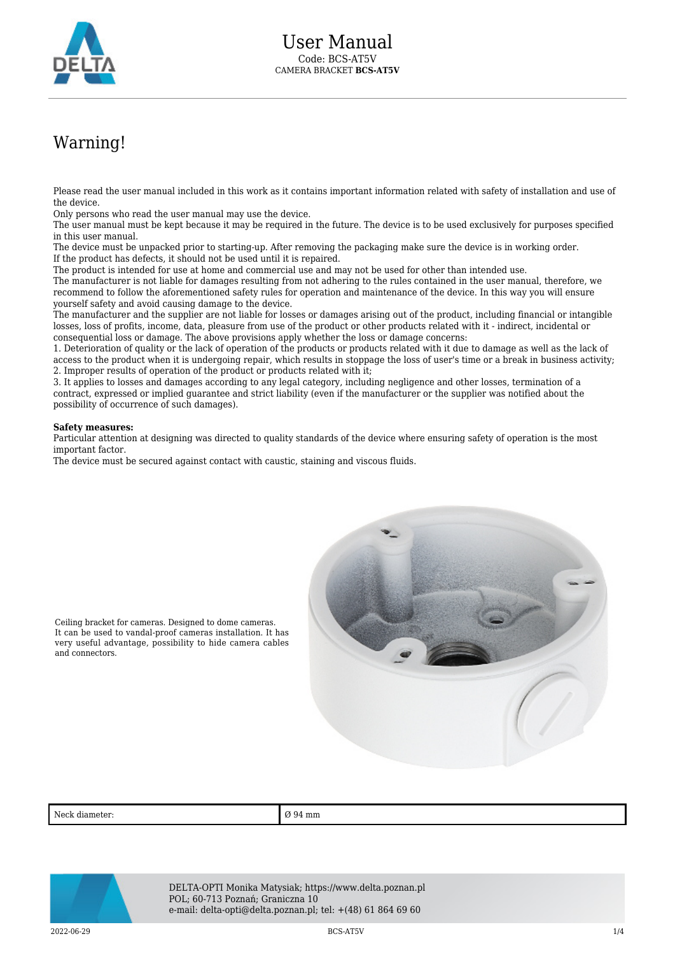

## Warning!

Please read the user manual included in this work as it contains important information related with safety of installation and use of the device.

Only persons who read the user manual may use the device.

The user manual must be kept because it may be required in the future. The device is to be used exclusively for purposes specified in this user manual.

The device must be unpacked prior to starting-up. After removing the packaging make sure the device is in working order. If the product has defects, it should not be used until it is repaired.

The product is intended for use at home and commercial use and may not be used for other than intended use.

The manufacturer is not liable for damages resulting from not adhering to the rules contained in the user manual, therefore, we recommend to follow the aforementioned safety rules for operation and maintenance of the device. In this way you will ensure yourself safety and avoid causing damage to the device.

The manufacturer and the supplier are not liable for losses or damages arising out of the product, including financial or intangible losses, loss of profits, income, data, pleasure from use of the product or other products related with it - indirect, incidental or consequential loss or damage. The above provisions apply whether the loss or damage concerns:

1. Deterioration of quality or the lack of operation of the products or products related with it due to damage as well as the lack of access to the product when it is undergoing repair, which results in stoppage the loss of user's time or a break in business activity; 2. Improper results of operation of the product or products related with it;

3. It applies to losses and damages according to any legal category, including negligence and other losses, termination of a contract, expressed or implied guarantee and strict liability (even if the manufacturer or the supplier was notified about the possibility of occurrence of such damages).

## **Safety measures:**

Particular attention at designing was directed to quality standards of the device where ensuring safety of operation is the most important factor.

The device must be secured against contact with caustic, staining and viscous fluids.



Ceiling bracket for cameras. Designed to dome cameras. It can be used to vandal-proof cameras installation. It has very useful advantage, possibility to hide camera cables and connectors.

Neck diameter:  $\Box$   $\Box$  94 mm



DELTA-OPTI Monika Matysiak; https://www.delta.poznan.pl POL; 60-713 Poznań; Graniczna 10 e-mail: delta-opti@delta.poznan.pl; tel: +(48) 61 864 69 60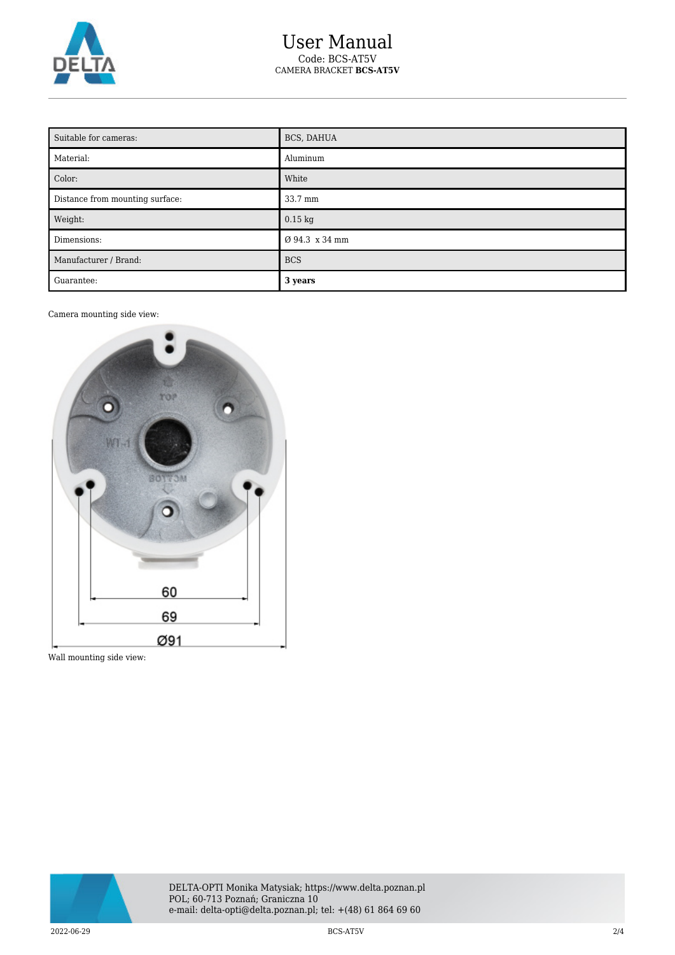

| Suitable for cameras:           | BCS, DAHUA     |
|---------------------------------|----------------|
| Material:                       | Aluminum       |
| Color:                          | White          |
| Distance from mounting surface: | 33.7 mm        |
| Weight:                         | $0.15$ kg      |
| Dimensions:                     | Ø 94.3 x 34 mm |
| Manufacturer / Brand:           | <b>BCS</b>     |
| Guarantee:                      | 3 years        |

Camera mounting side view:



Wall mounting side view:

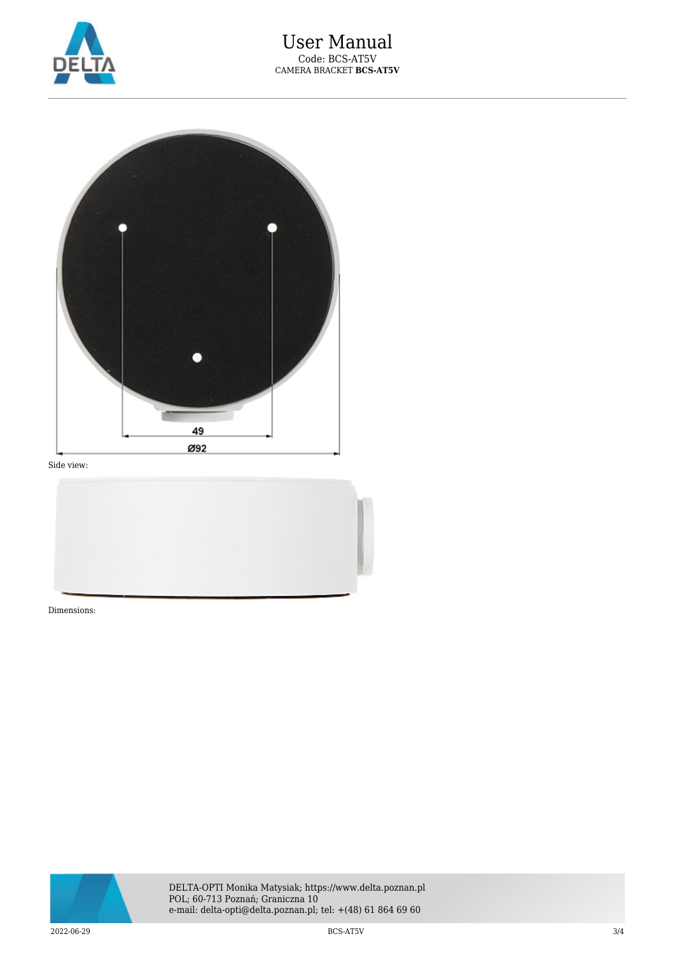



Side view:



Dimensions: